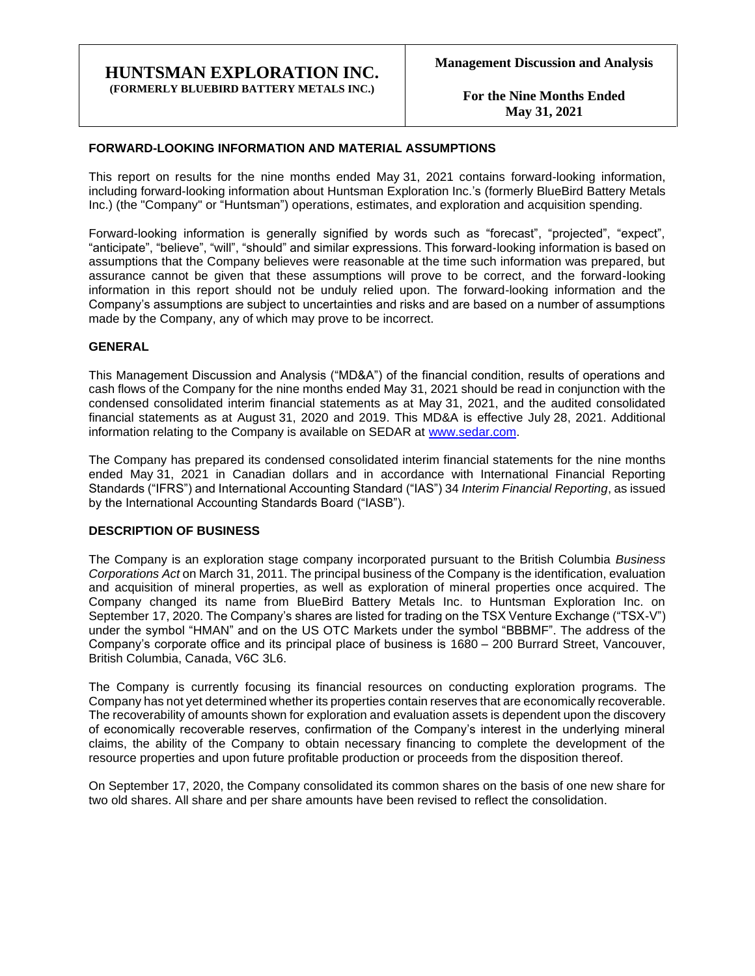### **HUNTSMAN EXPLORATION INC. (FORMERLY BLUEBIRD BATTERY METALS INC.)**

**For the Nine Months Ended May 31, 2021**

### **FORWARD-LOOKING INFORMATION AND MATERIAL ASSUMPTIONS**

This report on results for the nine months ended May 31, 2021 contains forward-looking information, including forward-looking information about Huntsman Exploration Inc.'s (formerly BlueBird Battery Metals Inc.) (the "Company" or "Huntsman") operations, estimates, and exploration and acquisition spending.

Forward-looking information is generally signified by words such as "forecast", "projected", "expect", "anticipate", "believe", "will", "should" and similar expressions. This forward-looking information is based on assumptions that the Company believes were reasonable at the time such information was prepared, but assurance cannot be given that these assumptions will prove to be correct, and the forward-looking information in this report should not be unduly relied upon. The forward-looking information and the Company's assumptions are subject to uncertainties and risks and are based on a number of assumptions made by the Company, any of which may prove to be incorrect.

### **GENERAL**

This Management Discussion and Analysis ("MD&A") of the financial condition, results of operations and cash flows of the Company for the nine months ended May 31, 2021 should be read in conjunction with the condensed consolidated interim financial statements as at May 31, 2021, and the audited consolidated financial statements as at August 31, 2020 and 2019. This MD&A is effective July 28, 2021. Additional information relating to the Company is available on SEDAR at [www.sedar.com.](http://www.sedar.com/)

The Company has prepared its condensed consolidated interim financial statements for the nine months ended May 31, 2021 in Canadian dollars and in accordance with International Financial Reporting Standards ("IFRS") and International Accounting Standard ("IAS") 34 *Interim Financial Reporting*, as issued by the International Accounting Standards Board ("IASB").

#### **DESCRIPTION OF BUSINESS**

The Company is an exploration stage company incorporated pursuant to the British Columbia *Business Corporations Act* on March 31, 2011. The principal business of the Company is the identification, evaluation and acquisition of mineral properties, as well as exploration of mineral properties once acquired. The Company changed its name from BlueBird Battery Metals Inc. to Huntsman Exploration Inc. on September 17, 2020. The Company's shares are listed for trading on the TSX Venture Exchange ("TSX-V") under the symbol "HMAN" and on the US OTC Markets under the symbol "BBBMF". The address of the Company's corporate office and its principal place of business is 1680 – 200 Burrard Street, Vancouver, British Columbia, Canada, V6C 3L6.

The Company is currently focusing its financial resources on conducting exploration programs. The Company has not yet determined whether its properties contain reserves that are economically recoverable. The recoverability of amounts shown for exploration and evaluation assets is dependent upon the discovery of economically recoverable reserves, confirmation of the Company's interest in the underlying mineral claims, the ability of the Company to obtain necessary financing to complete the development of the resource properties and upon future profitable production or proceeds from the disposition thereof.

On September 17, 2020, the Company consolidated its common shares on the basis of one new share for two old shares. All share and per share amounts have been revised to reflect the consolidation.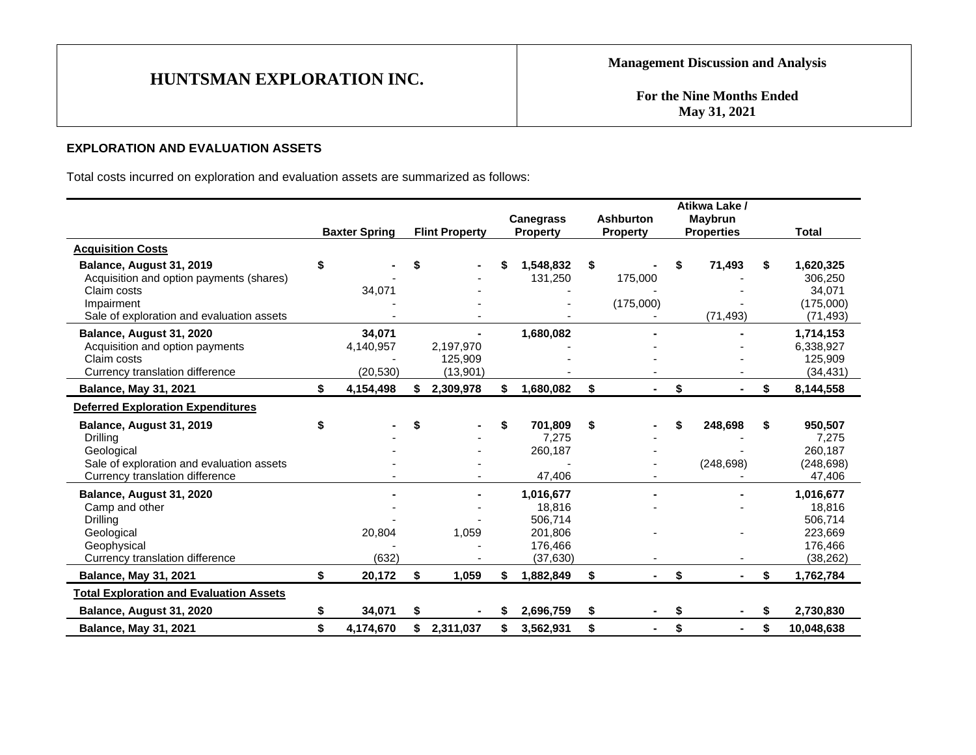**For the Nine Months Ended May 31, 2021**

## **EXPLORATION AND EVALUATION ASSETS**

Total costs incurred on exploration and evaluation assets are summarized as follows:

|                                                         |                      |    |                       |    |                                     | <b>Ashburton</b> |    | Atikwa Lake /<br><b>Maybrun</b> |    |                        |
|---------------------------------------------------------|----------------------|----|-----------------------|----|-------------------------------------|------------------|----|---------------------------------|----|------------------------|
|                                                         | <b>Baxter Spring</b> |    | <b>Flint Property</b> |    | <b>Canegrass</b><br><b>Property</b> | <b>Property</b>  |    | <b>Properties</b>               |    | Total                  |
| <b>Acquisition Costs</b>                                |                      |    |                       |    |                                     |                  |    |                                 |    |                        |
| Balance, August 31, 2019                                | \$                   | \$ |                       | \$ | 1,548,832                           | \$               | S  | 71,493                          | \$ | 1,620,325              |
| Acquisition and option payments (shares)                |                      |    |                       |    | 131,250                             | 175,000          |    |                                 |    | 306,250                |
| Claim costs                                             | 34,071               |    |                       |    |                                     |                  |    |                                 |    | 34,071                 |
| Impairment<br>Sale of exploration and evaluation assets |                      |    |                       |    |                                     | (175,000)        |    | (71, 493)                       |    | (175,000)<br>(71, 493) |
|                                                         |                      |    |                       |    |                                     |                  |    |                                 |    |                        |
| Balance, August 31, 2020                                | 34,071               |    |                       |    | 1,680,082                           |                  |    |                                 |    | 1,714,153              |
| Acquisition and option payments<br>Claim costs          | 4,140,957            |    | 2,197,970<br>125,909  |    |                                     |                  |    |                                 |    | 6,338,927<br>125,909   |
| Currency translation difference                         | (20.530)             |    | (13,901)              |    |                                     |                  |    |                                 |    | (34, 431)              |
| <b>Balance, May 31, 2021</b>                            | \$<br>4,154,498      | \$ | 2,309,978             | \$ | 1,680,082                           | \$<br>Ξ.         | \$ |                                 | S  | 8,144,558              |
| <b>Deferred Exploration Expenditures</b>                |                      |    |                       |    |                                     |                  |    |                                 |    |                        |
| Balance, August 31, 2019                                | \$                   | \$ |                       | \$ | 701,809                             | \$               | \$ | 248,698                         | \$ | 950,507                |
| Drilling                                                |                      |    |                       |    | 7,275                               |                  |    |                                 |    | 7,275                  |
| Geological                                              |                      |    |                       |    | 260,187                             |                  |    |                                 |    | 260.187                |
| Sale of exploration and evaluation assets               |                      |    |                       |    |                                     |                  |    | (248, 698)                      |    | (248, 698)             |
| Currency translation difference                         |                      |    |                       |    | 47,406                              |                  |    |                                 |    | 47,406                 |
| Balance, August 31, 2020                                |                      |    |                       |    | 1,016,677                           |                  |    |                                 |    | 1,016,677              |
| Camp and other                                          |                      |    |                       |    | 18.816                              |                  |    |                                 |    | 18,816                 |
| Drilling                                                | 20,804               |    | 1,059                 |    | 506,714<br>201,806                  |                  |    |                                 |    | 506,714<br>223,669     |
| Geological<br>Geophysical                               |                      |    |                       |    | 176,466                             |                  |    |                                 |    | 176,466                |
| Currency translation difference                         | (632)                |    |                       |    | (37, 630)                           |                  |    |                                 |    | (38, 262)              |
| <b>Balance, May 31, 2021</b>                            | \$<br>20,172         | \$ | 1,059                 | \$ | 1,882,849                           | \$<br>Ξ.         | \$ |                                 | \$ | 1,762,784              |
| <b>Total Exploration and Evaluation Assets</b>          |                      |    |                       |    |                                     |                  |    |                                 |    |                        |
| Balance, August 31, 2020                                | \$<br>34,071         | S  |                       | S. | 2,696,759                           | \$               | \$ |                                 |    | 2,730,830              |
| <b>Balance, May 31, 2021</b>                            | \$<br>4,174,670      |    | 2,311,037             | S  | 3,562,931                           | \$<br>٠.         | \$ |                                 | \$ | 10,048,638             |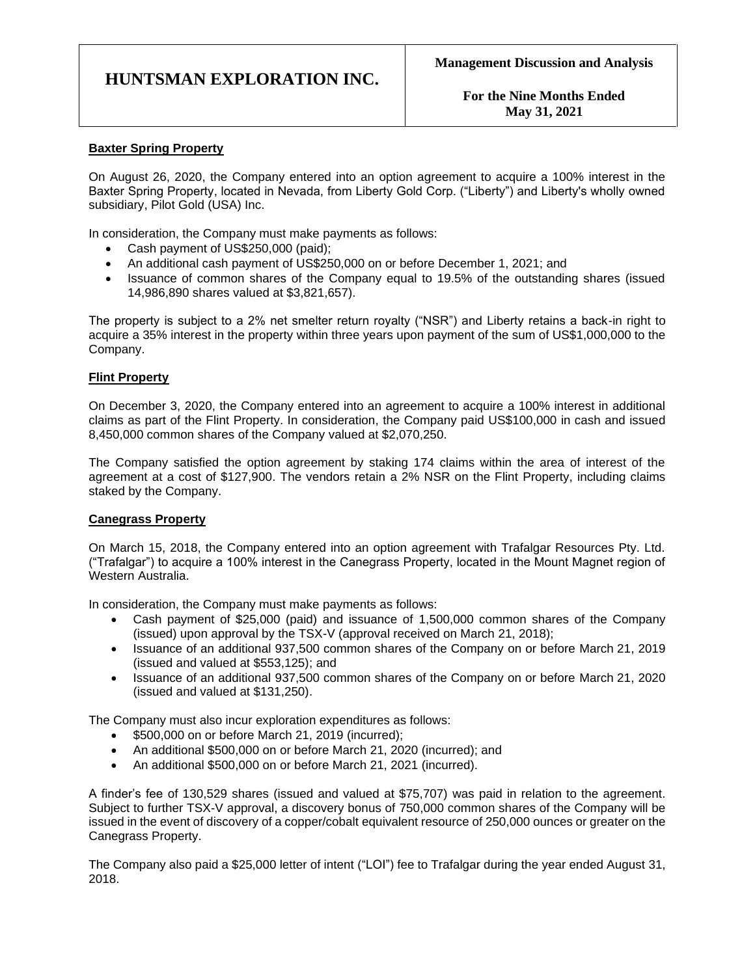**For the Nine Months Ended May 31, 2021**

### **Baxter Spring Property**

On August 26, 2020, the Company entered into an option agreement to acquire a 100% interest in the Baxter Spring Property, located in Nevada, from Liberty Gold Corp. ("Liberty") and Liberty's wholly owned subsidiary, Pilot Gold (USA) Inc.

In consideration, the Company must make payments as follows:

- Cash payment of US\$250,000 (paid);
- An additional cash payment of US\$250,000 on or before December 1, 2021; and
- Issuance of common shares of the Company equal to 19.5% of the outstanding shares (issued 14,986,890 shares valued at \$3,821,657).

The property is subject to a 2% net smelter return royalty ("NSR") and Liberty retains a back-in right to acquire a 35% interest in the property within three years upon payment of the sum of US\$1,000,000 to the Company.

#### **Flint Property**

On December 3, 2020, the Company entered into an agreement to acquire a 100% interest in additional claims as part of the Flint Property. In consideration, the Company paid US\$100,000 in cash and issued 8,450,000 common shares of the Company valued at \$2,070,250.

The Company satisfied the option agreement by staking 174 claims within the area of interest of the agreement at a cost of \$127,900. The vendors retain a 2% NSR on the Flint Property, including claims staked by the Company.

#### **Canegrass Property**

On March 15, 2018, the Company entered into an option agreement with Trafalgar Resources Pty. Ltd. ("Trafalgar") to acquire a 100% interest in the Canegrass Property, located in the Mount Magnet region of Western Australia.

In consideration, the Company must make payments as follows:

- Cash payment of \$25,000 (paid) and issuance of 1,500,000 common shares of the Company (issued) upon approval by the TSX-V (approval received on March 21, 2018);
- Issuance of an additional 937,500 common shares of the Company on or before March 21, 2019 (issued and valued at \$553,125); and
- Issuance of an additional 937,500 common shares of the Company on or before March 21, 2020 (issued and valued at \$131,250).

The Company must also incur exploration expenditures as follows:

- \$500,000 on or before March 21, 2019 (incurred):
- An additional \$500,000 on or before March 21, 2020 (incurred); and
- An additional \$500,000 on or before March 21, 2021 (incurred).

A finder's fee of 130,529 shares (issued and valued at \$75,707) was paid in relation to the agreement. Subject to further TSX-V approval, a discovery bonus of 750,000 common shares of the Company will be issued in the event of discovery of a copper/cobalt equivalent resource of 250,000 ounces or greater on the Canegrass Property.

The Company also paid a \$25,000 letter of intent ("LOI") fee to Trafalgar during the year ended August 31, 2018.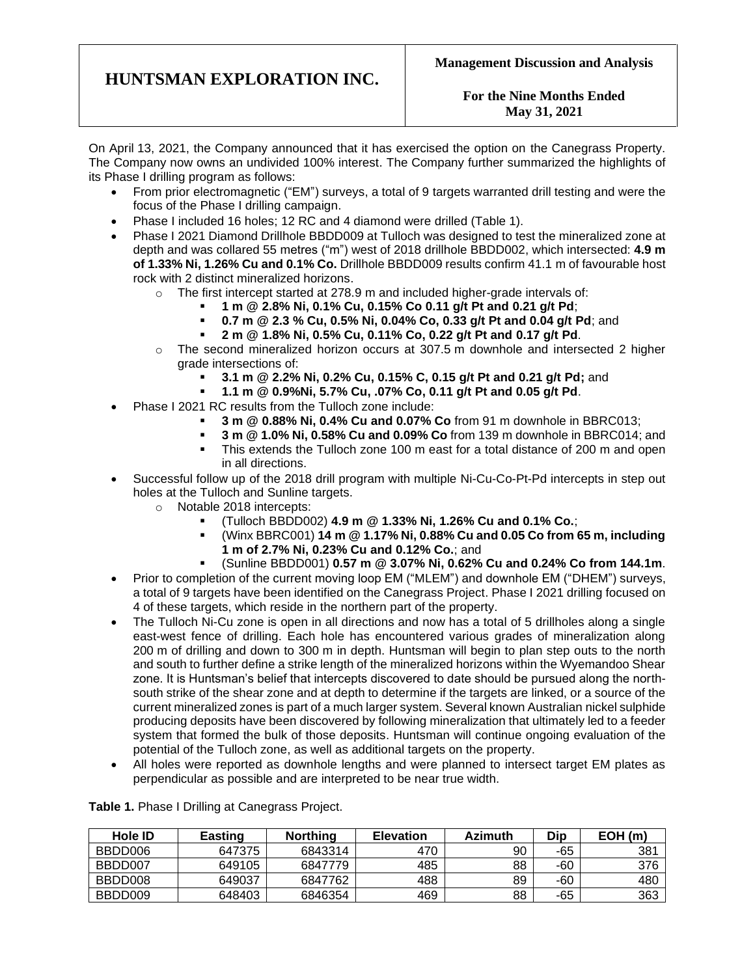### **For the Nine Months Ended May 31, 2021**

On April 13, 2021, the Company announced that it has exercised the option on the Canegrass Property. The Company now owns an undivided 100% interest. The Company further summarized the highlights of its Phase I drilling program as follows:

- From prior electromagnetic ("EM") surveys, a total of 9 targets warranted drill testing and were the focus of the Phase I drilling campaign.
- Phase I included 16 holes; 12 RC and 4 diamond were drilled (Table 1).
- Phase I 2021 Diamond Drillhole BBDD009 at Tulloch was designed to test the mineralized zone at depth and was collared 55 metres ("m") west of 2018 drillhole BBDD002, which intersected: **4.9 m of 1.33% Ni, 1.26% Cu and 0.1% Co.** Drillhole BBDD009 results confirm 41.1 m of favourable host rock with 2 distinct mineralized horizons.
	- $\circ$  The first intercept started at 278.9 m and included higher-grade intervals of:
		- **1 m @ 2.8% Ni, 0.1% Cu, 0.15% Co 0.11 g/t Pt and 0.21 g/t Pd**;
		- **0.7 m @ 2.3 % Cu, 0.5% Ni, 0.04% Co, 0.33 g/t Pt and 0.04 g/t Pd**; and
		- **2 m @ 1.8% Ni, 0.5% Cu, 0.11% Co, 0.22 g/t Pt and 0.17 g/t Pd**.
	- $\circ$  The second mineralized horizon occurs at 307.5 m downhole and intersected 2 higher grade intersections of:
		- **3.1 m @ 2.2% Ni, 0.2% Cu, 0.15% C, 0.15 g/t Pt and 0.21 g/t Pd;** and
		- **1.1 m @ 0.9%Ni, 5.7% Cu, .07% Co, 0.11 g/t Pt and 0.05 g/t Pd**.
- Phase I 2021 RC results from the Tulloch zone include:
	- **3 m @ 0.88% Ni, 0.4% Cu and 0.07% Co** from 91 m downhole in BBRC013;
	- **3 m @ 1.0% Ni, 0.58% Cu and 0.09% Co** from 139 m downhole in BBRC014; and
	- This extends the Tulloch zone 100 m east for a total distance of 200 m and open in all directions.
- Successful follow up of the 2018 drill program with multiple Ni-Cu-Co-Pt-Pd intercepts in step out holes at the Tulloch and Sunline targets.
	- o Notable 2018 intercepts:
		- (Tulloch BBDD002) **4.9 m @ 1.33% Ni, 1.26% Cu and 0.1% Co.**;
		- (Winx BBRC001) **14 m @ 1.17% Ni, 0.88% Cu and 0.05 Co from 65 m, including 1 m of 2.7% Ni, 0.23% Cu and 0.12% Co.**; and
			- (Sunline BBDD001) **0.57 m @ 3.07% Ni, 0.62% Cu and 0.24% Co from 144.1m**.
- Prior to completion of the current moving loop EM ("MLEM") and downhole EM ("DHEM") surveys, a total of 9 targets have been identified on the Canegrass Project. Phase I 2021 drilling focused on 4 of these targets, which reside in the northern part of the property.
- The Tulloch Ni-Cu zone is open in all directions and now has a total of 5 drillholes along a single east-west fence of drilling. Each hole has encountered various grades of mineralization along 200 m of drilling and down to 300 m in depth. Huntsman will begin to plan step outs to the north and south to further define a strike length of the mineralized horizons within the Wyemandoo Shear zone. It is Huntsman's belief that intercepts discovered to date should be pursued along the northsouth strike of the shear zone and at depth to determine if the targets are linked, or a source of the current mineralized zones is part of a much larger system. Several known Australian nickel sulphide producing deposits have been discovered by following mineralization that ultimately led to a feeder system that formed the bulk of those deposits. Huntsman will continue ongoing evaluation of the potential of the Tulloch zone, as well as additional targets on the property.
- All holes were reported as downhole lengths and were planned to intersect target EM plates as perpendicular as possible and are interpreted to be near true width.

| <b>Hole ID</b> | <b>Easting</b> | <b>Northing</b> | <b>Elevation</b> | Azimuth | Dip | EOH(m) |
|----------------|----------------|-----------------|------------------|---------|-----|--------|
| BBDD006        | 647375         | 6843314         | 470              | 90      | -65 | 381    |
| BBDD007        | 649105         | 6847779         | 485              | 88      | -60 | 376    |
| BBDD008        | 649037         | 6847762         | 488              | 89      | -60 | 480    |
| BBDD009        | 648403         | 6846354         | 469              | 88      | -65 | 363    |

**Table 1.** Phase I Drilling at Canegrass Project.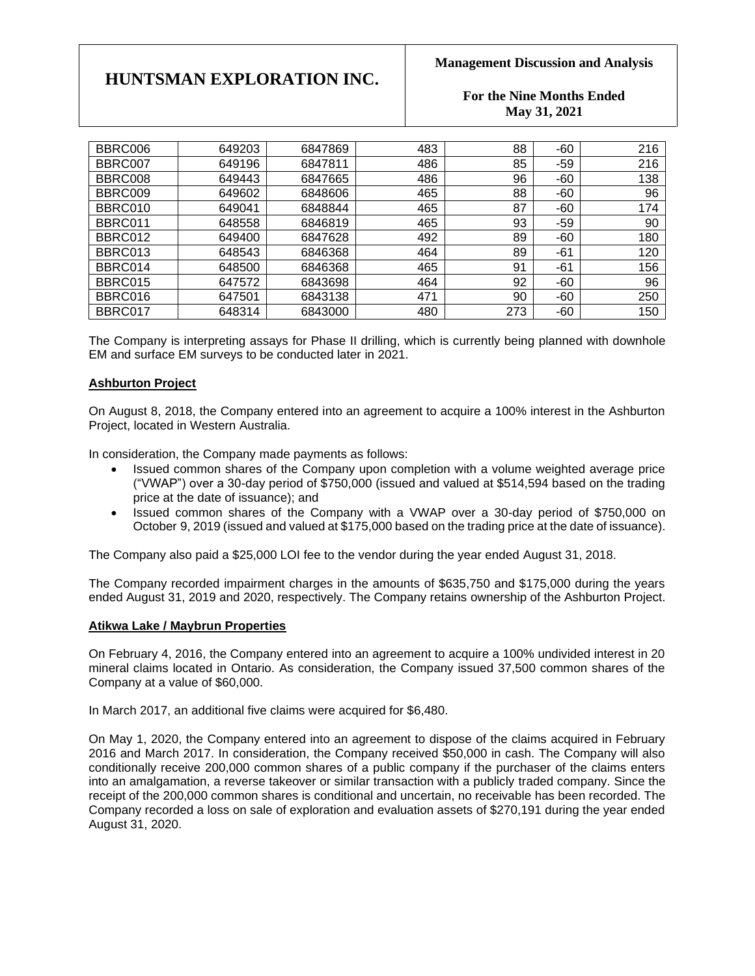### **Management Discussion and Analysis**

### **For the Nine Months Ended May 31, 2021**

| BBRC006 | 649203 | 6847869 | 483 | 88  | $-60$ | 216 |
|---------|--------|---------|-----|-----|-------|-----|
| BBRC007 | 649196 | 6847811 | 486 | 85  | $-59$ | 216 |
| BBRC008 | 649443 | 6847665 | 486 | 96  | $-60$ | 138 |
| BBRC009 | 649602 | 6848606 | 465 | 88  | $-60$ | 96  |
| BBRC010 | 649041 | 6848844 | 465 | 87  | $-60$ | 174 |
| BBRC011 | 648558 | 6846819 | 465 | 93  | $-59$ | 90  |
| BBRC012 | 649400 | 6847628 | 492 | 89  | -60   | 180 |
| BBRC013 | 648543 | 6846368 | 464 | 89  | -61   | 120 |
| BBRC014 | 648500 | 6846368 | 465 | 91  | $-61$ | 156 |
| BBRC015 | 647572 | 6843698 | 464 | 92  | $-60$ | 96  |
| BBRC016 | 647501 | 6843138 | 471 | 90  | -60   | 250 |
| BBRC017 | 648314 | 6843000 | 480 | 273 | $-60$ | 150 |

The Company is interpreting assays for Phase II drilling, which is currently being planned with downhole EM and surface EM surveys to be conducted later in 2021.

### **Ashburton Project**

On August 8, 2018, the Company entered into an agreement to acquire a 100% interest in the Ashburton Project, located in Western Australia.

In consideration, the Company made payments as follows:

- Issued common shares of the Company upon completion with a volume weighted average price ("VWAP") over a 30-day period of \$750,000 (issued and valued at \$514,594 based on the trading price at the date of issuance); and
- Issued common shares of the Company with a VWAP over a 30-day period of \$750,000 on October 9, 2019 (issued and valued at \$175,000 based on the trading price at the date of issuance).

The Company also paid a \$25,000 LOI fee to the vendor during the year ended August 31, 2018.

The Company recorded impairment charges in the amounts of \$635,750 and \$175,000 during the years ended August 31, 2019 and 2020, respectively. The Company retains ownership of the Ashburton Project.

#### **Atikwa Lake / Maybrun Properties**

On February 4, 2016, the Company entered into an agreement to acquire a 100% undivided interest in 20 mineral claims located in Ontario. As consideration, the Company issued 37,500 common shares of the Company at a value of \$60,000.

In March 2017, an additional five claims were acquired for \$6,480.

On May 1, 2020, the Company entered into an agreement to dispose of the claims acquired in February 2016 and March 2017. In consideration, the Company received \$50,000 in cash. The Company will also conditionally receive 200,000 common shares of a public company if the purchaser of the claims enters into an amalgamation, a reverse takeover or similar transaction with a publicly traded company. Since the receipt of the 200,000 common shares is conditional and uncertain, no receivable has been recorded. The Company recorded a loss on sale of exploration and evaluation assets of \$270,191 during the year ended August 31, 2020.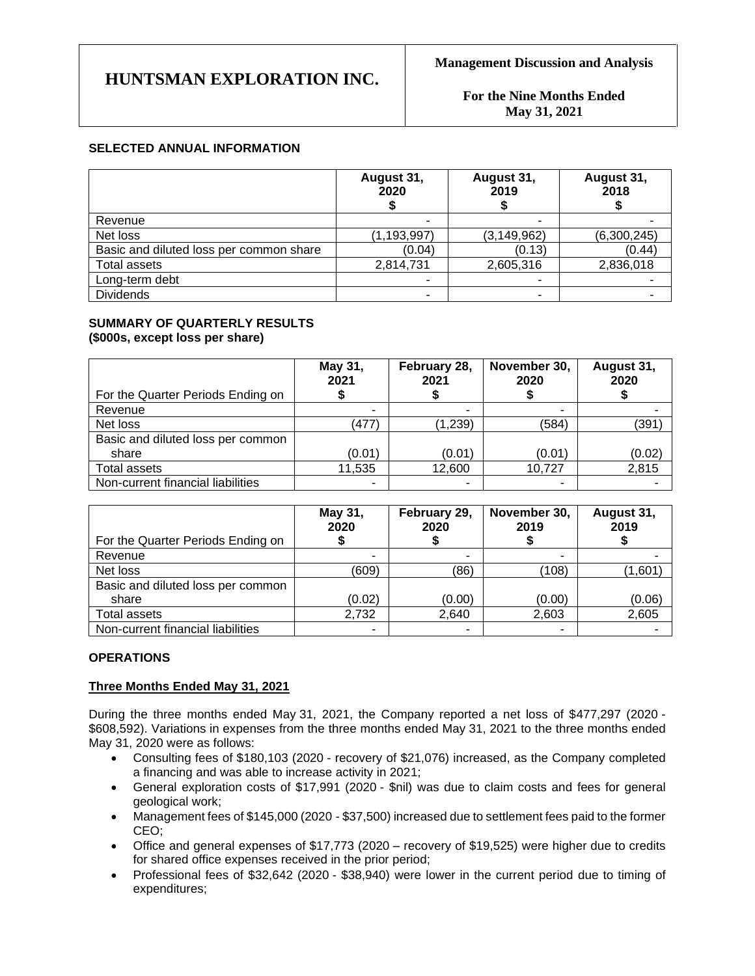**For the Nine Months Ended May 31, 2021**

### **SELECTED ANNUAL INFORMATION**

|                                         | August 31,<br>2020 | August 31,<br>2019 | August 31,<br>2018 |
|-----------------------------------------|--------------------|--------------------|--------------------|
| Revenue                                 | ۰                  |                    |                    |
| Net loss                                | (1, 193, 997)      | (3, 149, 962)      | (6,300,245)        |
| Basic and diluted loss per common share | (0.04)             | (0.13)             | (0.44)             |
| <b>Total assets</b>                     | 2,814,731          | 2,605,316          | 2,836,018          |
| Long-term debt                          |                    |                    |                    |
| <b>Dividends</b>                        |                    |                    |                    |

#### **SUMMARY OF QUARTERLY RESULTS (\$000s, except loss per share)**

| For the Quarter Periods Ending on | May 31,<br>2021 | February 28,<br>2021 | November 30,<br>2020 | August 31,<br>2020 |
|-----------------------------------|-----------------|----------------------|----------------------|--------------------|
| Revenue                           | ٠               | ٠                    |                      |                    |
| Net loss                          | (477)           | (1,239)              | (584)                | (391)              |
| Basic and diluted loss per common |                 |                      |                      |                    |
| share                             | (0.01)          | (0.01)               | (0.01)               | (0.02)             |
| Total assets                      | 11,535          | 12,600               | 10,727               | 2,815              |
| Non-current financial liabilities | ۰               | ٠                    |                      |                    |

| For the Quarter Periods Ending on | May 31,<br>2020 | February 29,<br>2020 | November 30,<br>2019 | August 31,<br>2019 |
|-----------------------------------|-----------------|----------------------|----------------------|--------------------|
| Revenue                           |                 | -                    |                      |                    |
| Net loss                          | (609)           | (86)                 | (108)                | (1,601             |
|                                   |                 |                      |                      |                    |
| Basic and diluted loss per common |                 |                      |                      |                    |
| share                             | (0.02)          | (0.00)               | (0.00)               | (0.06)             |
| <b>Total assets</b>               | 2.732           | 2,640                | 2,603                | 2,605              |
| Non-current financial liabilities | ٠               |                      |                      |                    |

### **OPERATIONS**

#### **Three Months Ended May 31, 2021**

During the three months ended May 31, 2021, the Company reported a net loss of \$477,297 (2020 - \$608,592). Variations in expenses from the three months ended May 31, 2021 to the three months ended May 31, 2020 were as follows:

- Consulting fees of \$180,103 (2020 recovery of \$21,076) increased, as the Company completed a financing and was able to increase activity in 2021;
- General exploration costs of \$17,991 (2020 \$nil) was due to claim costs and fees for general geological work;
- Management fees of \$145,000 (2020 \$37,500) increased due to settlement fees paid to the former CEO;
- Office and general expenses of \$17,773 (2020 recovery of \$19,525) were higher due to credits for shared office expenses received in the prior period;
- Professional fees of \$32,642 (2020 \$38,940) were lower in the current period due to timing of expenditures;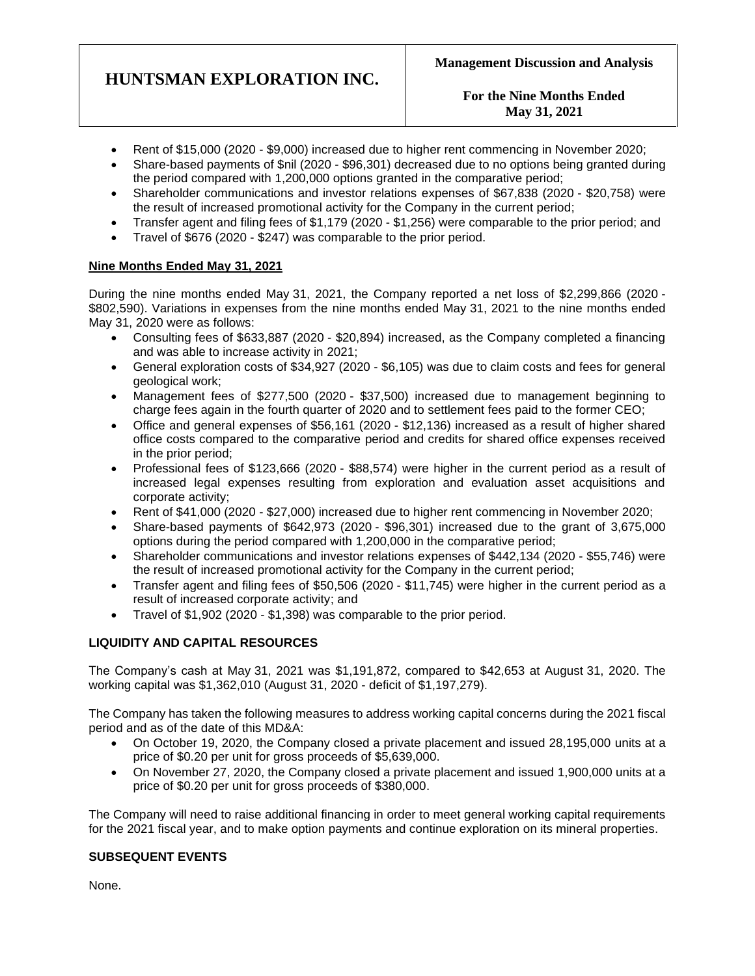**For the Nine Months Ended May 31, 2021**

- Rent of \$15,000 (2020 \$9,000) increased due to higher rent commencing in November 2020;
- Share-based payments of \$nil (2020 \$96,301) decreased due to no options being granted during the period compared with 1,200,000 options granted in the comparative period;
- Shareholder communications and investor relations expenses of \$67,838 (2020 \$20,758) were the result of increased promotional activity for the Company in the current period;
- Transfer agent and filing fees of \$1,179 (2020 \$1,256) were comparable to the prior period; and
- Travel of \$676 (2020 \$247) was comparable to the prior period.

### **Nine Months Ended May 31, 2021**

During the nine months ended May 31, 2021, the Company reported a net loss of \$2,299,866 (2020 - \$802,590). Variations in expenses from the nine months ended May 31, 2021 to the nine months ended May 31, 2020 were as follows:

- Consulting fees of \$633,887 (2020 \$20,894) increased, as the Company completed a financing and was able to increase activity in 2021;
- General exploration costs of \$34,927 (2020 \$6,105) was due to claim costs and fees for general geological work;
- Management fees of \$277,500 (2020 \$37,500) increased due to management beginning to charge fees again in the fourth quarter of 2020 and to settlement fees paid to the former CEO;
- Office and general expenses of \$56,161 (2020 \$12,136) increased as a result of higher shared office costs compared to the comparative period and credits for shared office expenses received in the prior period;
- Professional fees of \$123,666 (2020 \$88,574) were higher in the current period as a result of increased legal expenses resulting from exploration and evaluation asset acquisitions and corporate activity;
- Rent of \$41,000 (2020 \$27,000) increased due to higher rent commencing in November 2020;
- Share-based payments of \$642,973 (2020 \$96,301) increased due to the grant of 3,675,000 options during the period compared with 1,200,000 in the comparative period;
- Shareholder communications and investor relations expenses of \$442,134 (2020 \$55,746) were the result of increased promotional activity for the Company in the current period;
- Transfer agent and filing fees of \$50,506 (2020 \$11,745) were higher in the current period as a result of increased corporate activity; and
- Travel of \$1,902 (2020 \$1,398) was comparable to the prior period.

### **LIQUIDITY AND CAPITAL RESOURCES**

The Company's cash at May 31, 2021 was \$1,191,872, compared to \$42,653 at August 31, 2020. The working capital was \$1,362,010 (August 31, 2020 - deficit of \$1,197,279).

The Company has taken the following measures to address working capital concerns during the 2021 fiscal period and as of the date of this MD&A:

- On October 19, 2020, the Company closed a private placement and issued 28,195,000 units at a price of \$0.20 per unit for gross proceeds of \$5,639,000.
- On November 27, 2020, the Company closed a private placement and issued 1,900,000 units at a price of \$0.20 per unit for gross proceeds of \$380,000.

The Company will need to raise additional financing in order to meet general working capital requirements for the 2021 fiscal year, and to make option payments and continue exploration on its mineral properties.

### **SUBSEQUENT EVENTS**

None.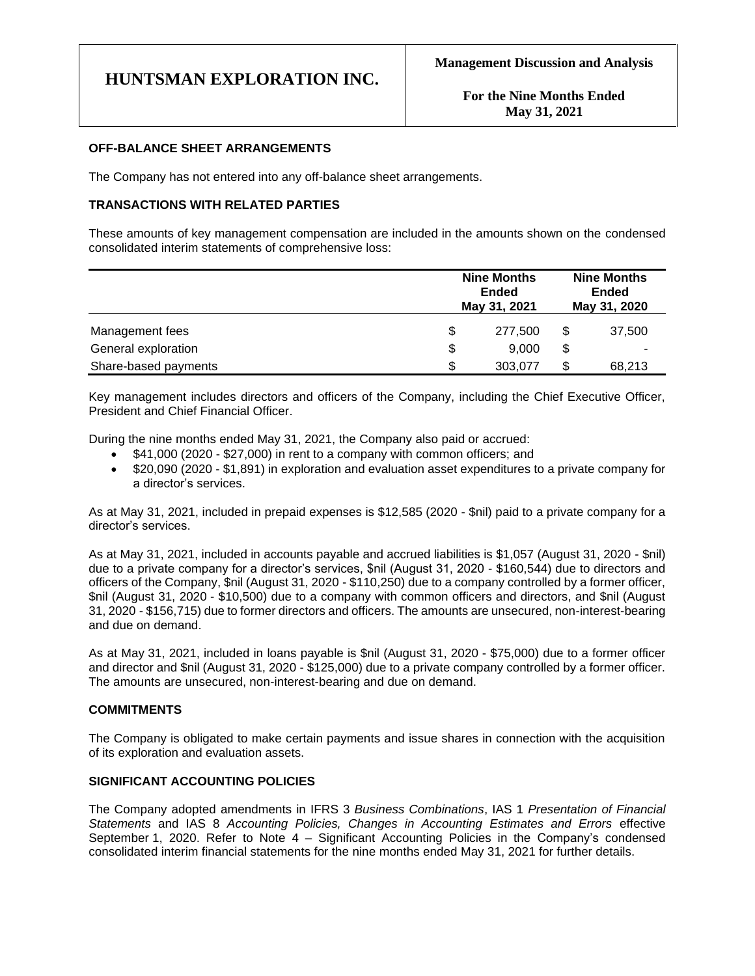#### **OFF-BALANCE SHEET ARRANGEMENTS**

The Company has not entered into any off-balance sheet arrangements.

### **TRANSACTIONS WITH RELATED PARTIES**

These amounts of key management compensation are included in the amounts shown on the condensed consolidated interim statements of comprehensive loss:

|                      |    | <b>Nine Months</b><br><b>Ended</b><br>May 31, 2021 |    | <b>Nine Months</b><br>Ended<br>May 31, 2020 |
|----------------------|----|----------------------------------------------------|----|---------------------------------------------|
| Management fees      | \$ | 277,500                                            | \$ | 37,500                                      |
| General exploration  | \$ | 9,000                                              | \$ |                                             |
| Share-based payments | S  | 303,077                                            | \$ | 68,213                                      |

Key management includes directors and officers of the Company, including the Chief Executive Officer, President and Chief Financial Officer.

During the nine months ended May 31, 2021, the Company also paid or accrued:

- \$41,000 (2020 \$27,000) in rent to a company with common officers; and
- \$20,090 (2020 \$1,891) in exploration and evaluation asset expenditures to a private company for a director's services.

As at May 31, 2021, included in prepaid expenses is \$12,585 (2020 - \$nil) paid to a private company for a director's services.

As at May 31, 2021, included in accounts payable and accrued liabilities is \$1,057 (August 31, 2020 - \$nil) due to a private company for a director's services, \$nil (August 31, 2020 - \$160,544) due to directors and officers of the Company, \$nil (August 31, 2020 - \$110,250) due to a company controlled by a former officer, \$nil (August 31, 2020 - \$10,500) due to a company with common officers and directors, and \$nil (August 31, 2020 - \$156,715) due to former directors and officers. The amounts are unsecured, non-interest-bearing and due on demand.

As at May 31, 2021, included in loans payable is \$nil (August 31, 2020 - \$75,000) due to a former officer and director and \$nil (August 31, 2020 - \$125,000) due to a private company controlled by a former officer. The amounts are unsecured, non-interest-bearing and due on demand.

#### **COMMITMENTS**

The Company is obligated to make certain payments and issue shares in connection with the acquisition of its exploration and evaluation assets.

#### **SIGNIFICANT ACCOUNTING POLICIES**

The Company adopted amendments in IFRS 3 *Business Combinations*, IAS 1 *Presentation of Financial Statements* and IAS 8 *Accounting Policies, Changes in Accounting Estimates and Errors* effective September 1, 2020. Refer to Note 4 – Significant Accounting Policies in the Company's condensed consolidated interim financial statements for the nine months ended May 31, 2021 for further details.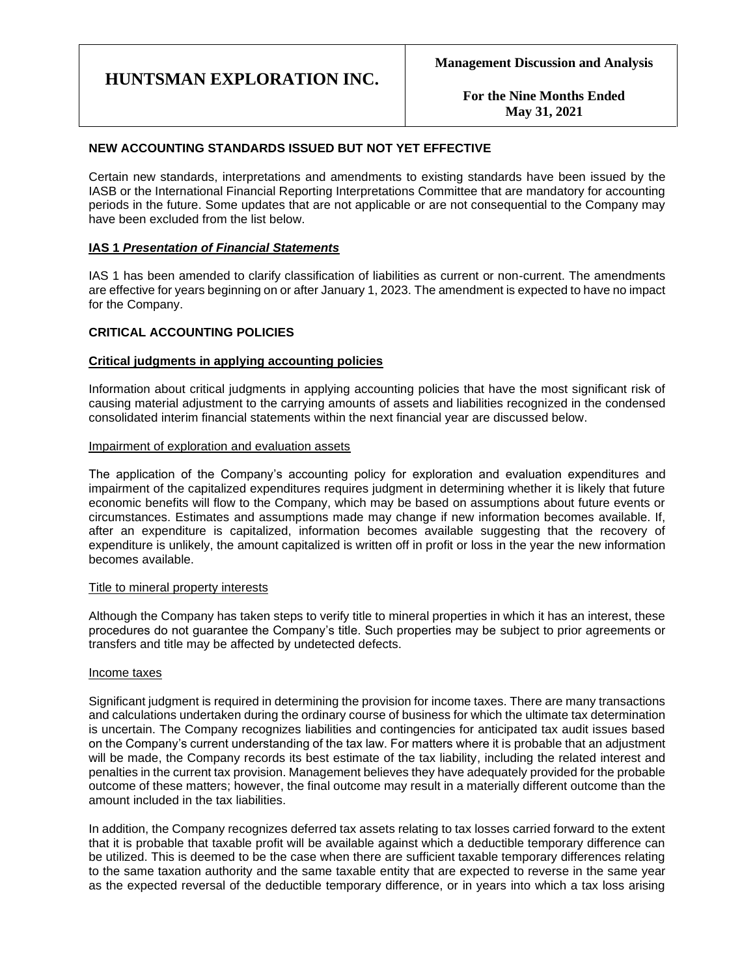**For the Nine Months Ended May 31, 2021**

### **NEW ACCOUNTING STANDARDS ISSUED BUT NOT YET EFFECTIVE**

Certain new standards, interpretations and amendments to existing standards have been issued by the IASB or the International Financial Reporting Interpretations Committee that are mandatory for accounting periods in the future. Some updates that are not applicable or are not consequential to the Company may have been excluded from the list below.

#### **IAS 1** *Presentation of Financial Statements*

IAS 1 has been amended to clarify classification of liabilities as current or non-current. The amendments are effective for years beginning on or after January 1, 2023. The amendment is expected to have no impact for the Company.

### **CRITICAL ACCOUNTING POLICIES**

#### **Critical judgments in applying accounting policies**

Information about critical judgments in applying accounting policies that have the most significant risk of causing material adjustment to the carrying amounts of assets and liabilities recognized in the condensed consolidated interim financial statements within the next financial year are discussed below.

#### Impairment of exploration and evaluation assets

The application of the Company's accounting policy for exploration and evaluation expenditures and impairment of the capitalized expenditures requires judgment in determining whether it is likely that future economic benefits will flow to the Company, which may be based on assumptions about future events or circumstances. Estimates and assumptions made may change if new information becomes available. If, after an expenditure is capitalized, information becomes available suggesting that the recovery of expenditure is unlikely, the amount capitalized is written off in profit or loss in the year the new information becomes available.

#### Title to mineral property interests

Although the Company has taken steps to verify title to mineral properties in which it has an interest, these procedures do not guarantee the Company's title. Such properties may be subject to prior agreements or transfers and title may be affected by undetected defects.

#### Income taxes

Significant judgment is required in determining the provision for income taxes. There are many transactions and calculations undertaken during the ordinary course of business for which the ultimate tax determination is uncertain. The Company recognizes liabilities and contingencies for anticipated tax audit issues based on the Company's current understanding of the tax law. For matters where it is probable that an adjustment will be made, the Company records its best estimate of the tax liability, including the related interest and penalties in the current tax provision. Management believes they have adequately provided for the probable outcome of these matters; however, the final outcome may result in a materially different outcome than the amount included in the tax liabilities.

In addition, the Company recognizes deferred tax assets relating to tax losses carried forward to the extent that it is probable that taxable profit will be available against which a deductible temporary difference can be utilized. This is deemed to be the case when there are sufficient taxable temporary differences relating to the same taxation authority and the same taxable entity that are expected to reverse in the same year as the expected reversal of the deductible temporary difference, or in years into which a tax loss arising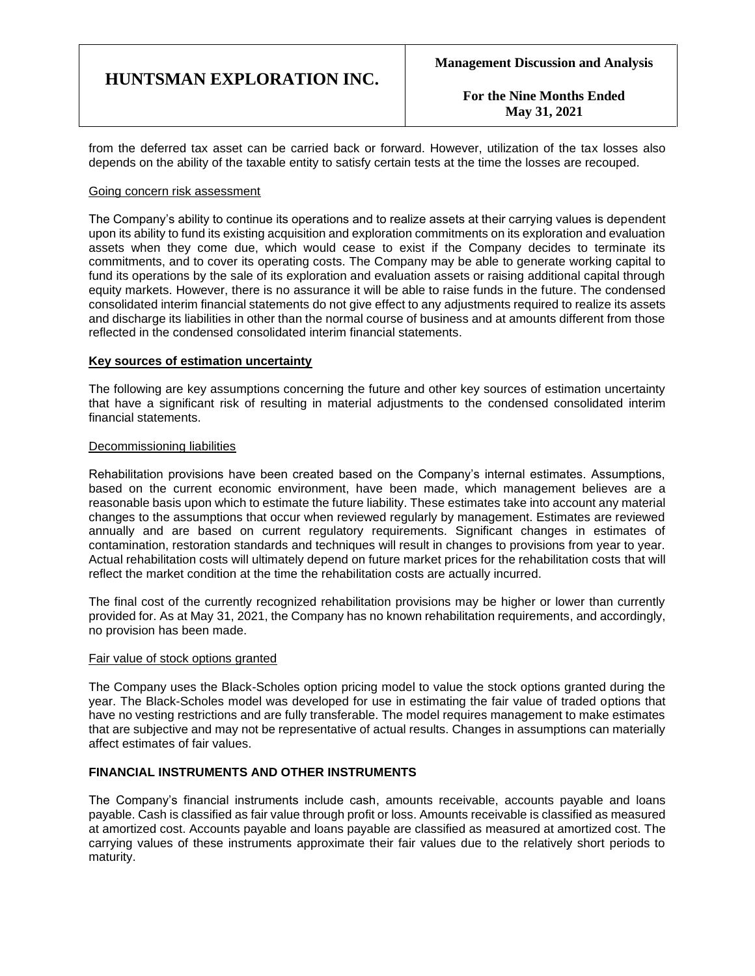**For the Nine Months Ended May 31, 2021**

from the deferred tax asset can be carried back or forward. However, utilization of the tax losses also depends on the ability of the taxable entity to satisfy certain tests at the time the losses are recouped.

#### Going concern risk assessment

The Company's ability to continue its operations and to realize assets at their carrying values is dependent upon its ability to fund its existing acquisition and exploration commitments on its exploration and evaluation assets when they come due, which would cease to exist if the Company decides to terminate its commitments, and to cover its operating costs. The Company may be able to generate working capital to fund its operations by the sale of its exploration and evaluation assets or raising additional capital through equity markets. However, there is no assurance it will be able to raise funds in the future. The condensed consolidated interim financial statements do not give effect to any adjustments required to realize its assets and discharge its liabilities in other than the normal course of business and at amounts different from those reflected in the condensed consolidated interim financial statements.

#### **Key sources of estimation uncertainty**

The following are key assumptions concerning the future and other key sources of estimation uncertainty that have a significant risk of resulting in material adjustments to the condensed consolidated interim financial statements.

#### Decommissioning liabilities

Rehabilitation provisions have been created based on the Company's internal estimates. Assumptions, based on the current economic environment, have been made, which management believes are a reasonable basis upon which to estimate the future liability. These estimates take into account any material changes to the assumptions that occur when reviewed regularly by management. Estimates are reviewed annually and are based on current regulatory requirements. Significant changes in estimates of contamination, restoration standards and techniques will result in changes to provisions from year to year. Actual rehabilitation costs will ultimately depend on future market prices for the rehabilitation costs that will reflect the market condition at the time the rehabilitation costs are actually incurred.

The final cost of the currently recognized rehabilitation provisions may be higher or lower than currently provided for. As at May 31, 2021, the Company has no known rehabilitation requirements, and accordingly, no provision has been made.

#### Fair value of stock options granted

The Company uses the Black-Scholes option pricing model to value the stock options granted during the year. The Black-Scholes model was developed for use in estimating the fair value of traded options that have no vesting restrictions and are fully transferable. The model requires management to make estimates that are subjective and may not be representative of actual results. Changes in assumptions can materially affect estimates of fair values.

### **FINANCIAL INSTRUMENTS AND OTHER INSTRUMENTS**

The Company's financial instruments include cash, amounts receivable, accounts payable and loans payable. Cash is classified as fair value through profit or loss. Amounts receivable is classified as measured at amortized cost. Accounts payable and loans payable are classified as measured at amortized cost. The carrying values of these instruments approximate their fair values due to the relatively short periods to maturity.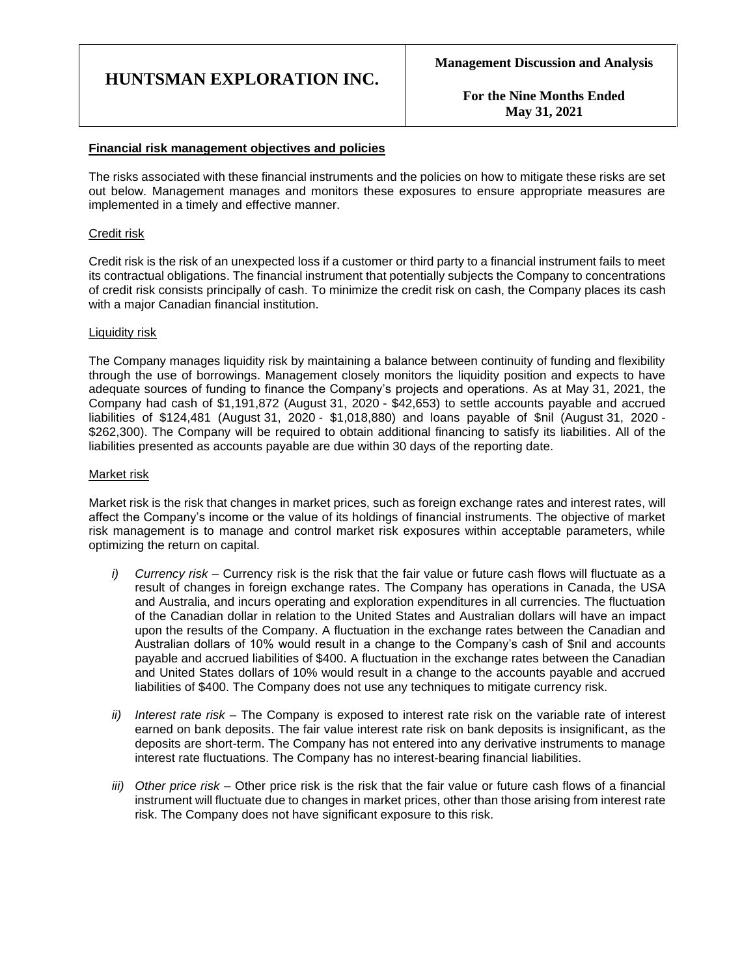**For the Nine Months Ended May 31, 2021**

### **Financial risk management objectives and policies**

The risks associated with these financial instruments and the policies on how to mitigate these risks are set out below. Management manages and monitors these exposures to ensure appropriate measures are implemented in a timely and effective manner.

#### Credit risk

Credit risk is the risk of an unexpected loss if a customer or third party to a financial instrument fails to meet its contractual obligations. The financial instrument that potentially subjects the Company to concentrations of credit risk consists principally of cash. To minimize the credit risk on cash, the Company places its cash with a major Canadian financial institution.

#### Liquidity risk

The Company manages liquidity risk by maintaining a balance between continuity of funding and flexibility through the use of borrowings. Management closely monitors the liquidity position and expects to have adequate sources of funding to finance the Company's projects and operations. As at May 31, 2021, the Company had cash of \$1,191,872 (August 31, 2020 - \$42,653) to settle accounts payable and accrued liabilities of \$124,481 (August 31, 2020 - \$1,018,880) and loans payable of \$nil (August 31, 2020 - \$262,300). The Company will be required to obtain additional financing to satisfy its liabilities. All of the liabilities presented as accounts payable are due within 30 days of the reporting date.

### Market risk

Market risk is the risk that changes in market prices, such as foreign exchange rates and interest rates, will affect the Company's income or the value of its holdings of financial instruments. The objective of market risk management is to manage and control market risk exposures within acceptable parameters, while optimizing the return on capital.

- *i) Currency risk –* Currency risk is the risk that the fair value or future cash flows will fluctuate as a result of changes in foreign exchange rates. The Company has operations in Canada, the USA and Australia, and incurs operating and exploration expenditures in all currencies. The fluctuation of the Canadian dollar in relation to the United States and Australian dollars will have an impact upon the results of the Company. A fluctuation in the exchange rates between the Canadian and Australian dollars of 10% would result in a change to the Company's cash of \$nil and accounts payable and accrued liabilities of \$400. A fluctuation in the exchange rates between the Canadian and United States dollars of 10% would result in a change to the accounts payable and accrued liabilities of \$400. The Company does not use any techniques to mitigate currency risk.
- *ii) Interest rate risk –* The Company is exposed to interest rate risk on the variable rate of interest earned on bank deposits. The fair value interest rate risk on bank deposits is insignificant, as the deposits are short-term. The Company has not entered into any derivative instruments to manage interest rate fluctuations. The Company has no interest-bearing financial liabilities.
- *iii) Other price risk –* Other price risk is the risk that the fair value or future cash flows of a financial instrument will fluctuate due to changes in market prices, other than those arising from interest rate risk. The Company does not have significant exposure to this risk.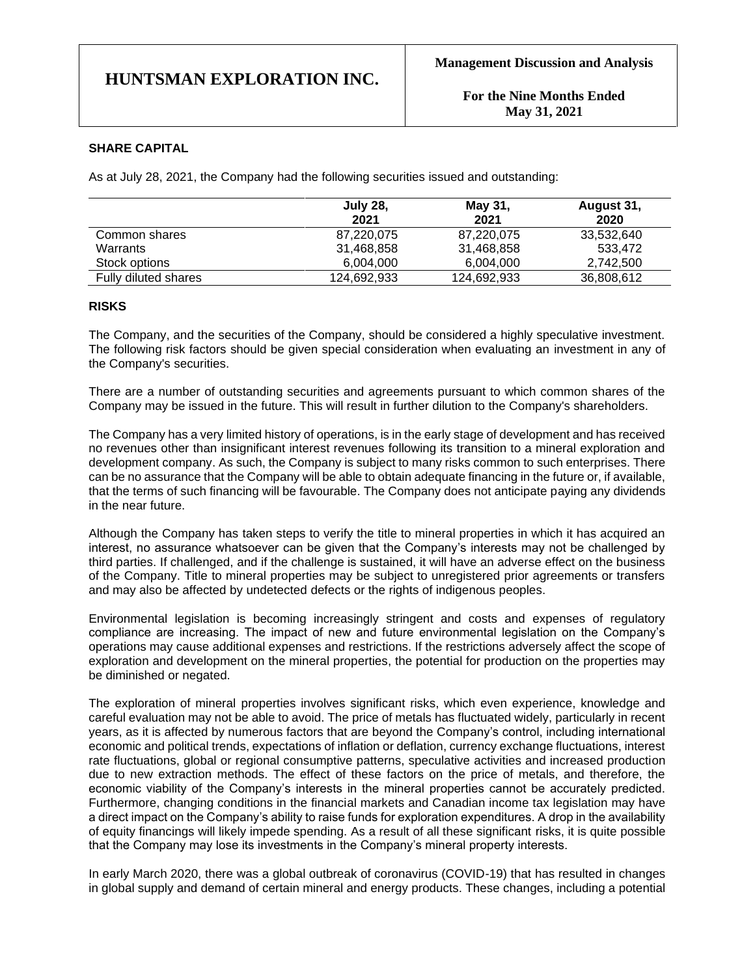#### **SHARE CAPITAL**

As at July 28, 2021, the Company had the following securities issued and outstanding:

|                      | <b>July 28,</b><br>2021 | May 31,<br>2021 | August 31,<br>2020 |
|----------------------|-------------------------|-----------------|--------------------|
| Common shares        | 87,220,075              | 87,220,075      | 33,532,640         |
| Warrants             | 31,468,858              | 31,468,858      | 533.472            |
| Stock options        | 6.004.000               | 6.004.000       | 2.742.500          |
| Fully diluted shares | 124,692,933             | 124,692,933     | 36,808,612         |

#### **RISKS**

The Company, and the securities of the Company, should be considered a highly speculative investment. The following risk factors should be given special consideration when evaluating an investment in any of the Company's securities.

There are a number of outstanding securities and agreements pursuant to which common shares of the Company may be issued in the future. This will result in further dilution to the Company's shareholders.

The Company has a very limited history of operations, is in the early stage of development and has received no revenues other than insignificant interest revenues following its transition to a mineral exploration and development company. As such, the Company is subject to many risks common to such enterprises. There can be no assurance that the Company will be able to obtain adequate financing in the future or, if available, that the terms of such financing will be favourable. The Company does not anticipate paying any dividends in the near future.

Although the Company has taken steps to verify the title to mineral properties in which it has acquired an interest, no assurance whatsoever can be given that the Company's interests may not be challenged by third parties. If challenged, and if the challenge is sustained, it will have an adverse effect on the business of the Company. Title to mineral properties may be subject to unregistered prior agreements or transfers and may also be affected by undetected defects or the rights of indigenous peoples.

Environmental legislation is becoming increasingly stringent and costs and expenses of regulatory compliance are increasing. The impact of new and future environmental legislation on the Company's operations may cause additional expenses and restrictions. If the restrictions adversely affect the scope of exploration and development on the mineral properties, the potential for production on the properties may be diminished or negated.

The exploration of mineral properties involves significant risks, which even experience, knowledge and careful evaluation may not be able to avoid. The price of metals has fluctuated widely, particularly in recent years, as it is affected by numerous factors that are beyond the Company's control, including international economic and political trends, expectations of inflation or deflation, currency exchange fluctuations, interest rate fluctuations, global or regional consumptive patterns, speculative activities and increased production due to new extraction methods. The effect of these factors on the price of metals, and therefore, the economic viability of the Company's interests in the mineral properties cannot be accurately predicted. Furthermore, changing conditions in the financial markets and Canadian income tax legislation may have a direct impact on the Company's ability to raise funds for exploration expenditures. A drop in the availability of equity financings will likely impede spending. As a result of all these significant risks, it is quite possible that the Company may lose its investments in the Company's mineral property interests.

In early March 2020, there was a global outbreak of coronavirus (COVID-19) that has resulted in changes in global supply and demand of certain mineral and energy products. These changes, including a potential